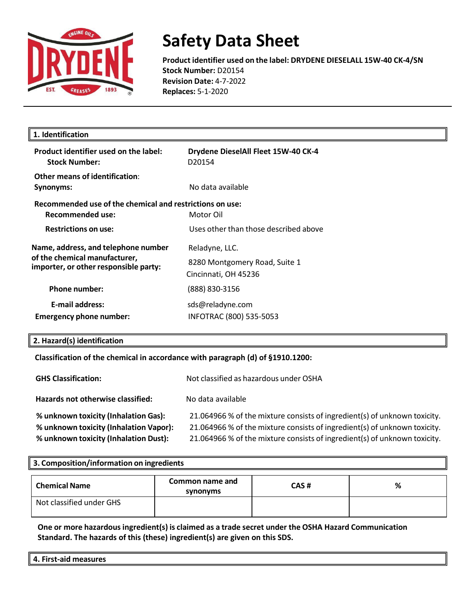

### **Safety Data Sheet**

**Product identifier used on the label: DRYDENE DIESELALL 15W-40 CK-4/SN Stock Number:** D20154 **Revision Date:** 4-7-2022 **Replaces:** 5-1-2020

| 1. Identification                                                                                             |                                                                         |
|---------------------------------------------------------------------------------------------------------------|-------------------------------------------------------------------------|
| Product identifier used on the label:<br><b>Stock Number:</b>                                                 | Drydene DieselAll Fleet 15W-40 CK-4<br>D <sub>20154</sub>               |
| Other means of identification:<br>Synonyms:                                                                   | No data available                                                       |
| Recommended use of the chemical and restrictions on use:<br>Recommended use:                                  | Motor Oil                                                               |
| <b>Restrictions on use:</b>                                                                                   | Uses other than those described above                                   |
| Name, address, and telephone number<br>of the chemical manufacturer,<br>importer, or other responsible party: | Reladyne, LLC.<br>8280 Montgomery Road, Suite 1<br>Cincinnati, OH 45236 |
| <b>Phone number:</b>                                                                                          | (888) 830-3156                                                          |
| <b>E-mail address:</b><br><b>Emergency phone number:</b>                                                      | sds@reladyne.com<br>INFOTRAC (800) 535-5053                             |

#### **2. Hazard(s) identification**

#### **Classification of the chemical in accordance with paragraph (d) of §1910.1200:**

| <b>GHS Classification:</b>             | Not classified as hazardous under OSHA                                    |
|----------------------------------------|---------------------------------------------------------------------------|
| Hazards not otherwise classified:      | No data available                                                         |
| % unknown toxicity (Inhalation Gas):   | 21.064966 % of the mixture consists of ingredient(s) of unknown toxicity. |
| % unknown toxicity (Inhalation Vapor): | 21.064966 % of the mixture consists of ingredient(s) of unknown toxicity. |
| % unknown toxicity (Inhalation Dust):  | 21.064966 % of the mixture consists of ingredient(s) of unknown toxicity. |

#### **3. Composition/information on ingredients**

| <b>Chemical Name</b>     | Common name and<br>synonyms | CAS# | % |
|--------------------------|-----------------------------|------|---|
| Not classified under GHS |                             |      |   |

**One or more hazardousingredient(s) is claimed as a trade secret under the OSHA Hazard Communication Standard. The hazards of this (these) ingredient(s) are given on this SDS.**

| --<br>Λ<br>.<br>.<br>־יוב<br>-aiu<br>$\mathbf{r}$ .<br><br>. |  |  |
|--------------------------------------------------------------|--|--|
|                                                              |  |  |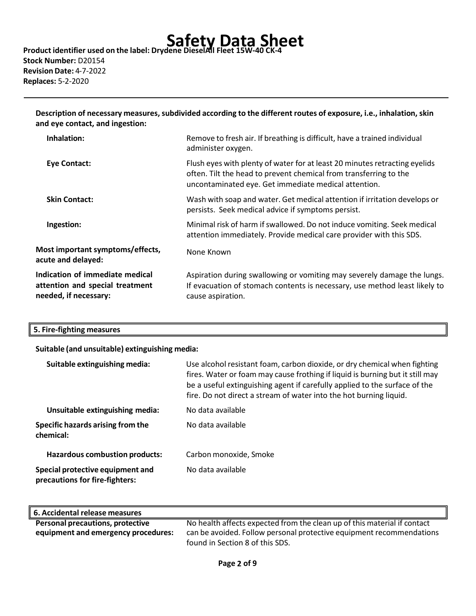# **Safety Data Sheet Product identifier used on the label: Drydene DieselAll Fleet 15W-40 CK-4**

**Stock Number:** D20154 **Revision Date:** 4-7-2022 **Replaces:** 5-2-2020

**Description of necessary measures,subdivided according to the different routes of exposure, i.e., inhalation, skin and eye contact, and ingestion:**

| Inhalation:                                                                                 | Remove to fresh air. If breathing is difficult, have a trained individual<br>administer oxygen.                                                                                                         |
|---------------------------------------------------------------------------------------------|---------------------------------------------------------------------------------------------------------------------------------------------------------------------------------------------------------|
| <b>Eye Contact:</b>                                                                         | Flush eyes with plenty of water for at least 20 minutes retracting eyelids<br>often. Tilt the head to prevent chemical from transferring to the<br>uncontaminated eye. Get immediate medical attention. |
| <b>Skin Contact:</b>                                                                        | Wash with soap and water. Get medical attention if irritation develops or<br>persists. Seek medical advice if symptoms persist.                                                                         |
| Ingestion:                                                                                  | Minimal risk of harm if swallowed. Do not induce vomiting. Seek medical<br>attention immediately. Provide medical care provider with this SDS.                                                          |
| Most important symptoms/effects,<br>acute and delayed:                                      | None Known                                                                                                                                                                                              |
| Indication of immediate medical<br>attention and special treatment<br>needed, if necessary: | Aspiration during swallowing or vomiting may severely damage the lungs.<br>If evacuation of stomach contents is necessary, use method least likely to<br>cause aspiration.                              |

#### **5. Fire-fighting measures**

**Suitable (and unsuitable) extinguishing media:**

| Suitable extinguishing media:                                      | Use alcohol resistant foam, carbon dioxide, or dry chemical when fighting<br>fires. Water or foam may cause frothing if liquid is burning but it still may<br>be a useful extinguishing agent if carefully applied to the surface of the<br>fire. Do not direct a stream of water into the hot burning liquid. |
|--------------------------------------------------------------------|----------------------------------------------------------------------------------------------------------------------------------------------------------------------------------------------------------------------------------------------------------------------------------------------------------------|
| Unsuitable extinguishing media:                                    | No data available                                                                                                                                                                                                                                                                                              |
| Specific hazards arising from the<br>chemical:                     | No data available                                                                                                                                                                                                                                                                                              |
| <b>Hazardous combustion products:</b>                              | Carbon monoxide, Smoke                                                                                                                                                                                                                                                                                         |
| Special protective equipment and<br>precautions for fire-fighters: | No data available                                                                                                                                                                                                                                                                                              |

| 6. Accidental release measures          |                                                                          |
|-----------------------------------------|--------------------------------------------------------------------------|
| <b>Personal precautions, protective</b> | No health affects expected from the clean up of this material if contact |
| equipment and emergency procedures:     | can be avoided. Follow personal protective equipment recommendations     |
|                                         | found in Section 8 of this SDS.                                          |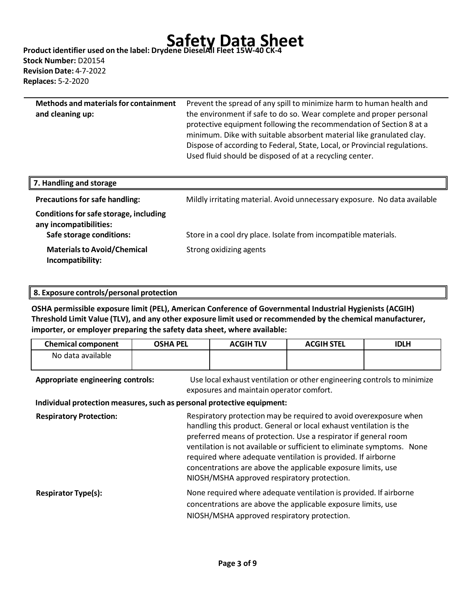# **Safety Data Sheet Product identifier used on the label: Drydene DieselAll Fleet 15W-40 CK-4**

**Stock Number:** D20154 **Revision Date:** 4-7-2022 **Replaces:** 5-2-2020

| <b>Methods and materials for containment</b> | Prevent the spread of any spill to minimize harm to human health and      |
|----------------------------------------------|---------------------------------------------------------------------------|
| and cleaning up:                             | the environment if safe to do so. Wear complete and proper personal       |
|                                              | protective equipment following the recommendation of Section 8 at a       |
|                                              | minimum. Dike with suitable absorbent material like granulated clay.      |
|                                              | Dispose of according to Federal, State, Local, or Provincial regulations. |
|                                              | Used fluid should be disposed of at a recycling center.                   |
|                                              |                                                                           |

| 7. Handling and storage                                                                      |                                                                           |
|----------------------------------------------------------------------------------------------|---------------------------------------------------------------------------|
| <b>Precautions for safe handling:</b>                                                        | Mildly irritating material. Avoid unnecessary exposure. No data available |
| Conditions for safe storage, including<br>any incompatibilities:<br>Safe storage conditions: | Store in a cool dry place. Isolate from incompatible materials.           |
|                                                                                              |                                                                           |
| <b>Materials to Avoid/Chemical</b><br>Incompatibility:                                       | Strong oxidizing agents                                                   |

**OSHA permissible exposure limit (PEL), American Conference of Governmental Industrial Hygienists (ACGIH) Threshold Limit Value (TLV), and any other exposure limit used or recommended by the chemical manufacturer, importer, or employer preparing the safety data sheet, where available:**

| <b>Chemical component</b> | <b>OSHA PEL</b> | <b>ACGIH TLV</b> | <b>ACGIH STEL</b> | <b>IDLH</b> |
|---------------------------|-----------------|------------------|-------------------|-------------|
| No data available         |                 |                  |                   |             |
|                           |                 |                  |                   |             |

**Appropriate engineering controls:** Use local exhaust ventilation or other engineering controls to minimize exposures and maintain operator comfort.

**Individual protection measures, such as personal protective equipment:** 

**Respiratory Protection:** Respiratory protection may be required to avoid overexposure when handling this product. General or local exhaust ventilation is the preferred means of protection. Use a respirator if general room ventilation is not available or sufficient to eliminate symptoms. None required where adequate ventilation is provided. If airborne concentrations are above the applicable exposure limits, use NIOSH/MSHA approved respiratory protection. **Respirator Type(s):** None required where adequate ventilation is provided. If airborne concentrations are above the applicable exposure limits, use NIOSH/MSHA approved respiratory protection.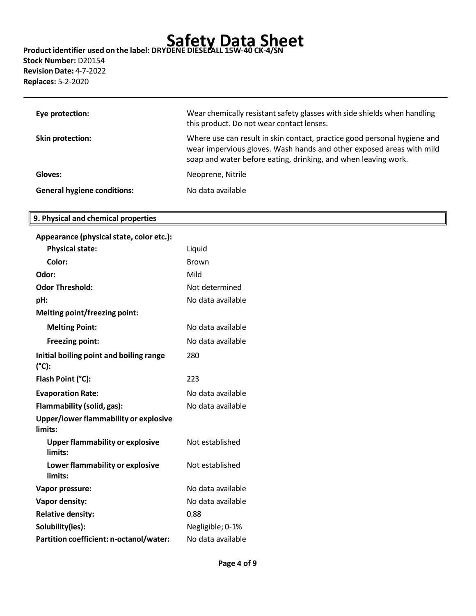### **Stock Number:** D20154 **Revision Date:** 4-7-2022 **Replaces:** 5-2-2020

| Eye protection:                    | Wear chemically resistant safety glasses with side shields when handling<br>this product. Do not wear contact lenses.                                                                                              |
|------------------------------------|--------------------------------------------------------------------------------------------------------------------------------------------------------------------------------------------------------------------|
| Skin protection:                   | Where use can result in skin contact, practice good personal hygiene and<br>wear impervious gloves. Wash hands and other exposed areas with mild<br>soap and water before eating, drinking, and when leaving work. |
| Gloves:                            | Neoprene, Nitrile                                                                                                                                                                                                  |
| <b>General hygiene conditions:</b> | No data available                                                                                                                                                                                                  |

#### **9. Physical and chemical properties**

| Appearance (physical state, color etc.):          |                   |
|---------------------------------------------------|-------------------|
| <b>Physical state:</b>                            | Liquid            |
| Color:                                            | <b>Brown</b>      |
| Odor:                                             | Mild              |
| <b>Odor Threshold:</b>                            | Not determined    |
| pH:                                               | No data available |
| <b>Melting point/freezing point:</b>              |                   |
| <b>Melting Point:</b>                             | No data available |
| <b>Freezing point:</b>                            | No data available |
| Initial boiling point and boiling range<br>(°C):  | 280               |
| Flash Point (°C):                                 | 223               |
| <b>Evaporation Rate:</b>                          | No data available |
| Flammability (solid, gas):                        | No data available |
| Upper/lower flammability or explosive<br>limits:  |                   |
| <b>Upper flammability or explosive</b><br>limits: | Not established   |
| Lower flammability or explosive<br>limits:        | Not established   |
| Vapor pressure:                                   | No data available |
| Vapor density:                                    | No data available |
| <b>Relative density:</b>                          | 0.88              |
| Solubility(ies):                                  | Negligible; 0-1%  |
| Partition coefficient: n-octanol/water:           | No data available |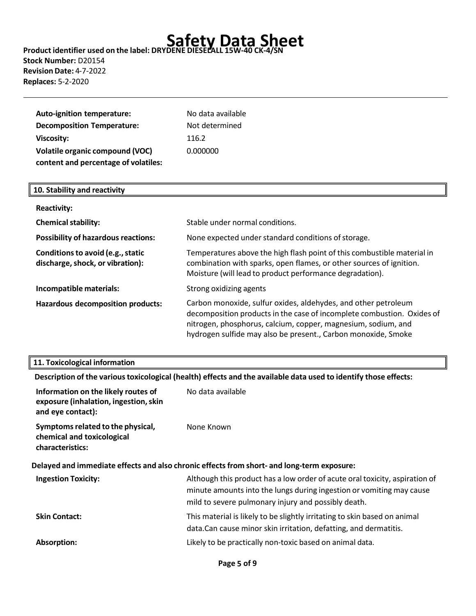**Stock Number:** D20154 **Revision Date:** 4-7-2022 **Replaces:** 5-2-2020

| Auto-ignition temperature:<br><b>Decomposition Temperature:</b>                                     | No data available<br>Not determined |
|-----------------------------------------------------------------------------------------------------|-------------------------------------|
| <b>Viscosity:</b><br><b>Volatile organic compound (VOC)</b><br>content and percentage of volatiles: | 116.2<br>0.000000                   |
| 10. Stability and reactivity                                                                        |                                     |

| <b>Reactivity:</b>                                                    |                                                                                                                                                                                                                                                                            |
|-----------------------------------------------------------------------|----------------------------------------------------------------------------------------------------------------------------------------------------------------------------------------------------------------------------------------------------------------------------|
| <b>Chemical stability:</b>                                            | Stable under normal conditions.                                                                                                                                                                                                                                            |
| <b>Possibility of hazardous reactions:</b>                            | None expected under standard conditions of storage.                                                                                                                                                                                                                        |
| Conditions to avoid (e.g., static<br>discharge, shock, or vibration): | Temperatures above the high flash point of this combustible material in<br>combination with sparks, open flames, or other sources of ignition.<br>Moisture (will lead to product performance degradation).                                                                 |
| Incompatible materials:                                               | Strong oxidizing agents                                                                                                                                                                                                                                                    |
| Hazardous decomposition products:                                     | Carbon monoxide, sulfur oxides, aldehydes, and other petroleum<br>decomposition products in the case of incomplete combustion. Oxides of<br>nitrogen, phosphorus, calcium, copper, magnesium, sodium, and<br>hydrogen sulfide may also be present., Carbon monoxide, Smoke |

#### **11. Toxicological information**

|                                                                                                   | Description of the various toxicological (health) effects and the available data used to identify those effects:                                                                                           |
|---------------------------------------------------------------------------------------------------|------------------------------------------------------------------------------------------------------------------------------------------------------------------------------------------------------------|
| Information on the likely routes of<br>exposure (inhalation, ingestion, skin<br>and eye contact): | No data available                                                                                                                                                                                          |
| Symptoms related to the physical,<br>chemical and toxicological<br>characteristics:               | None Known                                                                                                                                                                                                 |
|                                                                                                   | Delayed and immediate effects and also chronic effects from short- and long-term exposure:                                                                                                                 |
| <b>Ingestion Toxicity:</b>                                                                        | Although this product has a low order of acute oral toxicity, aspiration of<br>minute amounts into the lungs during ingestion or vomiting may cause<br>mild to severe pulmonary injury and possibly death. |
| <b>Skin Contact:</b>                                                                              | This material is likely to be slightly irritating to skin based on animal<br>data. Can cause minor skin irritation, defatting, and dermatitis.                                                             |
| Absorption:                                                                                       | Likely to be practically non-toxic based on animal data.                                                                                                                                                   |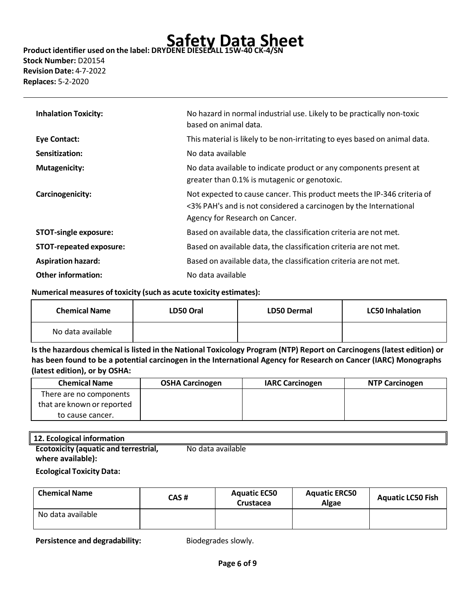### **Stock Number:** D20154 **Revision Date:** 4-7-2022

**Replaces:** 5-2-2020

| <b>Inhalation Toxicity:</b>    | No hazard in normal industrial use. Likely to be practically non-toxic<br>based on animal data.                                                                                |
|--------------------------------|--------------------------------------------------------------------------------------------------------------------------------------------------------------------------------|
| Eye Contact:                   | This material is likely to be non-irritating to eyes based on animal data.                                                                                                     |
| Sensitization:                 | No data available                                                                                                                                                              |
| <b>Mutagenicity:</b>           | No data available to indicate product or any components present at<br>greater than 0.1% is mutagenic or genotoxic.                                                             |
| Carcinogenicity:               | Not expected to cause cancer. This product meets the IP-346 criteria of<br><3% PAH's and is not considered a carcinogen by the International<br>Agency for Research on Cancer. |
| <b>STOT-single exposure:</b>   | Based on available data, the classification criteria are not met.                                                                                                              |
| <b>STOT-repeated exposure:</b> | Based on available data, the classification criteria are not met.                                                                                                              |
| <b>Aspiration hazard:</b>      | Based on available data, the classification criteria are not met.                                                                                                              |
| <b>Other information:</b>      | No data available                                                                                                                                                              |

#### **Numerical measures of toxicity (such as acute toxicity estimates):**

| <b>Chemical Name</b> | LD50 Oral | LD50 Dermal | <b>LC50 Inhalation</b> |
|----------------------|-----------|-------------|------------------------|
| No data available    |           |             |                        |

Is the hazardous chemical is listed in the National Toxicology Program (NTP) Report on Carcinogens (latest edition) or **has been found to be a potential carcinogen in the International Agency for Research on Cancer (IARC) Monographs (latest edition), or by OSHA:**

| <b>Chemical Name</b>       | <b>OSHA Carcinogen</b> | <b>IARC Carcinogen</b> | <b>NTP Carcinogen</b> |
|----------------------------|------------------------|------------------------|-----------------------|
| There are no components    |                        |                        |                       |
| that are known or reported |                        |                        |                       |
| to cause cancer.           |                        |                        |                       |

#### **12. Ecological information**

| _________________________________            |                   |
|----------------------------------------------|-------------------|
| <b>Ecotoxicity (aquatic and terrestrial,</b> | No data available |
| where available):                            |                   |

#### **Ecological Toxicity Data:**

| <b>Chemical Name</b> | CAS # | <b>Aquatic EC50</b><br>Crustacea | <b>Aquatic ERC50</b><br><b>Algae</b> | <b>Aquatic LC50 Fish</b> |
|----------------------|-------|----------------------------------|--------------------------------------|--------------------------|
| No data available    |       |                                  |                                      |                          |

**Persistence and degradability:** Biodegrades slowly.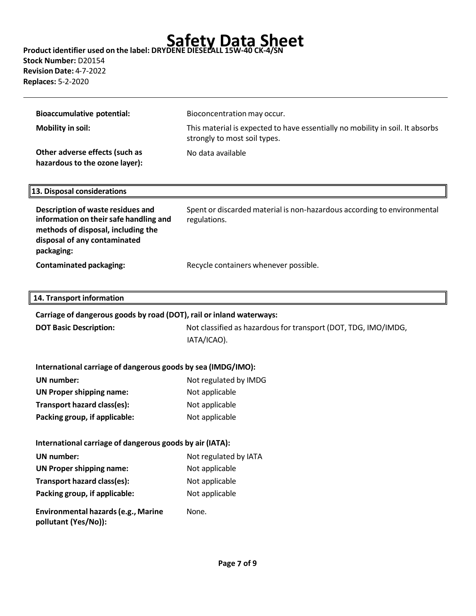### **Stock Number:** D20154 **Revision Date:** 4-7-2022 **Replaces:** 5-2-2020

| <b>Bioaccumulative potential:</b>                                                                                 | Bioconcentration may occur.                                                                                   |  |
|-------------------------------------------------------------------------------------------------------------------|---------------------------------------------------------------------------------------------------------------|--|
| <b>Mobility in soil:</b>                                                                                          | This material is expected to have essentially no mobility in soil. It absorbs<br>strongly to most soil types. |  |
| Other adverse effects (such as<br>hazardous to the ozone layer):                                                  | No data available                                                                                             |  |
| 13. Disposal considerations                                                                                       |                                                                                                               |  |
| Description of waste residues and<br>information on their safe handling and<br>methods of disposal, including the | Spent or discarded material is non-hazardous according to environmental<br>regulations.                       |  |

**Contaminated packaging:** Recycle containers whenever possible.

#### **14. Transport information**

**packaging:**

**disposal of any contaminated** 

| Carriage of dangerous goods by road (DOT), rail or inland waterways: |                                                                |  |
|----------------------------------------------------------------------|----------------------------------------------------------------|--|
| <b>DOT Basic Description:</b>                                        | Not classified as hazardous for transport (DOT, TDG, IMO/IMDG, |  |
|                                                                      | IATA/ICAO).                                                    |  |

### **International carriage of dangerous goods by sea (IMDG/IMO):**

| UN number:                      | Not regulated by IMDG |  |
|---------------------------------|-----------------------|--|
| <b>UN Proper shipping name:</b> | Not applicable        |  |
| Transport hazard class(es):     | Not applicable        |  |
| Packing group, if applicable:   | Not applicable        |  |

#### **International carriage of dangerous goods by air (IATA):**

| UN number:                          | Not regulated by IATA |
|-------------------------------------|-----------------------|
| <b>UN Proper shipping name:</b>     | Not applicable        |
| Transport hazard class(es):         | Not applicable        |
| Packing group, if applicable:       | Not applicable        |
| Environmental hazards (e.g., Marine | None.                 |

**pollutant (Yes/No)):**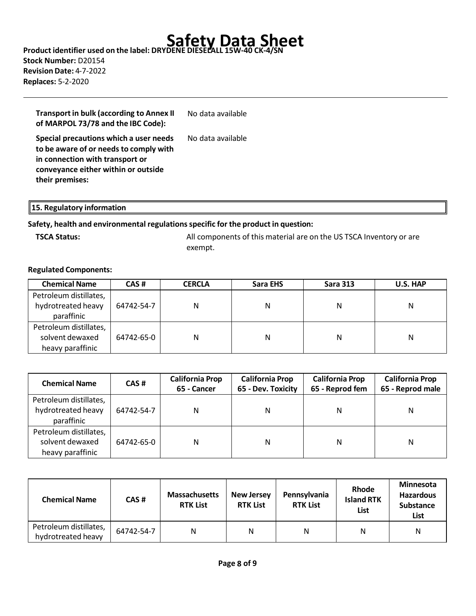### **Safety Data Sheet Product identifier used on the label: DRYDENE DIESELALL 15W-40 CK-4/SN Stock Number:** D20154 **Revision Date:** 4-7-2022 **Replaces:** 5-2-2020

| <b>Transport in bulk (according to Annex II</b><br>of MARPOL 73/78 and the IBC Code):                                                                                         | No data available |
|-------------------------------------------------------------------------------------------------------------------------------------------------------------------------------|-------------------|
| Special precautions which a user needs<br>to be aware of or needs to comply with<br>in connection with transport or<br>conveyance either within or outside<br>their premises: | No data available |

#### **15. Regulatory information**

#### **Safety, health and environmental regulationsspecific for the product in question:**

**TSCA Status:** All components of this material are on the US TSCA Inventory or are exempt.

#### **Regulated Components:**

| <b>Chemical Name</b>   | CAS#       | <b>CERCLA</b> | Sara EHS | <b>Sara 313</b> | U.S. HAP |
|------------------------|------------|---------------|----------|-----------------|----------|
| Petroleum distillates, |            |               |          |                 |          |
| hydrotreated heavy     | 64742-54-7 | N             | Ν        | N               | Ν        |
| paraffinic             |            |               |          |                 |          |
| Petroleum distillates, |            |               |          |                 |          |
| solvent dewaxed        | 64742-65-0 | N             | Ν        | Ν               | Ν        |
| heavy paraffinic       |            |               |          |                 |          |

| <b>Chemical Name</b>                                          | CAS#       | <b>California Prop</b><br>65 - Cancer | <b>California Prop</b><br>65 - Dev. Toxicity | <b>California Prop</b><br>65 - Reprod fem | <b>California Prop</b><br>65 - Reprod male |
|---------------------------------------------------------------|------------|---------------------------------------|----------------------------------------------|-------------------------------------------|--------------------------------------------|
| Petroleum distillates,<br>hydrotreated heavy<br>paraffinic    | 64742-54-7 | N                                     | Ν                                            | N                                         | Ν                                          |
| Petroleum distillates,<br>solvent dewaxed<br>heavy paraffinic | 64742-65-0 | N                                     | Ν                                            | N                                         | Ν                                          |

| <b>Chemical Name</b>                         | CAS#       | <b>Massachusetts</b><br><b>RTK List</b> | <b>New Jersey</b><br><b>RTK List</b> | Pennsylvania<br><b>RTK List</b> | Rhode<br><b>Island RTK</b><br>List | <b>Minnesota</b><br><b>Hazardous</b><br><b>Substance</b><br>List |
|----------------------------------------------|------------|-----------------------------------------|--------------------------------------|---------------------------------|------------------------------------|------------------------------------------------------------------|
| Petroleum distillates,<br>hydrotreated heavy | 64742-54-7 | N                                       | N                                    | N                               | Ν                                  | N                                                                |